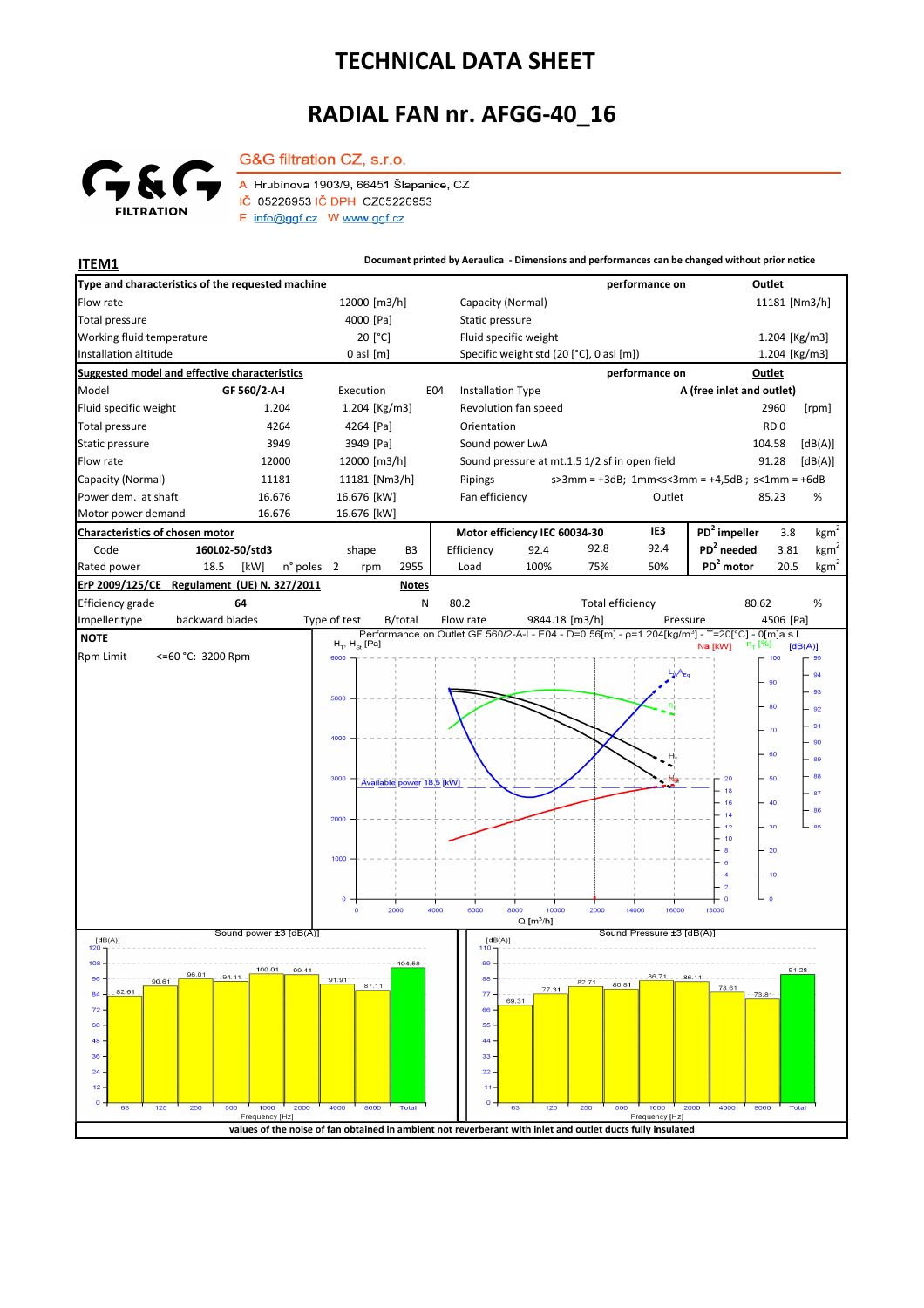## **TECHNICAL DATA SHEET**

## **RADIAL FAN nr. AFGG-40\_16**



G&G filtration CZ, s.r.o. A Hrubínova 1903/9, 66451 Šlapanice, CZ IČ 05226953 IČ DPH CZ05226953 E info@ggf.cz W www.ggf.cz

**ITEM1 ITEM1 Document printed by Aeraulica** - Dimensions and performances can be changed without prior notice

| Type and characteristics of the requested machine                                                          |                                                       |                                                                                                            | performance on                               | Outlet                                                                     |
|------------------------------------------------------------------------------------------------------------|-------------------------------------------------------|------------------------------------------------------------------------------------------------------------|----------------------------------------------|----------------------------------------------------------------------------|
| Flow rate                                                                                                  | 12000 [m3/h]                                          | Capacity (Normal)                                                                                          |                                              | 11181 [Nm3/h]                                                              |
| <b>Total pressure</b>                                                                                      | 4000 [Pa]                                             | Static pressure                                                                                            |                                              |                                                                            |
| Working fluid temperature                                                                                  | 20 [°C]                                               | Fluid specific weight                                                                                      |                                              | 1.204 [Kg/m3]                                                              |
| Installation altitude                                                                                      | $0$ asl $[m]$                                         | Specific weight std (20 [°C], 0 asl [m])                                                                   |                                              | 1.204 [Kg/m3]                                                              |
| <b>Suggested model and effective characteristics</b>                                                       |                                                       |                                                                                                            | performance on                               | Outlet                                                                     |
| Model<br>GF 560/2-A-I                                                                                      | Execution<br>E04                                      | <b>Installation Type</b>                                                                                   |                                              | A (free inlet and outlet)                                                  |
| Fluid specific weight<br>1.204                                                                             | 1.204 [Kg/m3]                                         | Revolution fan speed                                                                                       |                                              | 2960<br>[rpm]                                                              |
| <b>Total pressure</b><br>4264                                                                              | 4264 [Pa]                                             | Orientation                                                                                                |                                              | RD <sub>0</sub>                                                            |
| Static pressure<br>3949                                                                                    | 3949 [Pa]                                             | Sound power LwA                                                                                            |                                              | 104.58<br>[dB(A)]                                                          |
| Flow rate<br>12000                                                                                         | 12000 [m3/h]                                          | Sound pressure at mt.1.5 1/2 sf in open field                                                              |                                              | 91.28<br>[dB(A)]                                                           |
| Capacity (Normal)<br>11181                                                                                 | 11181 [Nm3/h]                                         | Pipings                                                                                                    |                                              | $s > 3$ mm = +3dB; 1mm <s<3mm +4,5db;="" =="" s<1mm="+6dB&lt;/td"></s<3mm> |
| Power dem. at shaft<br>16.676                                                                              | 16.676 [kW]                                           | Fan efficiency                                                                                             | Outlet                                       | 85.23<br>%                                                                 |
| Motor power demand<br>16.676                                                                               | 16.676 [kW]                                           |                                                                                                            |                                              |                                                                            |
| Characteristics of chosen motor                                                                            |                                                       | Motor efficiency IEC 60034-30                                                                              | IE3                                          | PD <sup>2</sup> impeller<br>kgm <sup>2</sup><br>3.8                        |
| 160L02-50/std3<br>Code                                                                                     | B3<br>shape                                           | 92.4<br>Efficiency                                                                                         | 92.4<br>92.8                                 | $PD2$ needed<br>kgm <sup>2</sup><br>3.81                                   |
| Rated power<br>18.5<br>[kW]<br>n° poles                                                                    | 2955<br>$\overline{2}$<br>rpm                         | 100%<br>Load                                                                                               | 75%<br>50%                                   | PD <sup>2</sup> motor<br>$\underline{\text{kg}}\text{m}^2$<br>20.5         |
| ErP 2009/125/CE<br>Regulament (UE) N. 327/2011                                                             | <b>Notes</b>                                          |                                                                                                            |                                              |                                                                            |
| Efficiency grade<br>64                                                                                     | N                                                     | 80.2                                                                                                       | <b>Total efficiency</b>                      | 80.62<br>$\%$                                                              |
| backward blades<br>Impeller type                                                                           | Type of test<br>B/total                               | Flow rate<br>9844.18 [m3/h]                                                                                | Pressure                                     | 4506 [Pa]                                                                  |
| <b>NOTE</b>                                                                                                | $H_{\rm \tau}$ , $H_{\rm \scriptscriptstyle SI}$ [Pa] | Performance on Outlet GF 560/2-A-I - E04 - D=0.56[m] - p=1.204[kg/m <sup>3</sup> ] - T=20[°C] - 0[m]a.s.l. |                                              | $n_T$ [%]<br>Na [kW]<br>[dB(A)]                                            |
| <b>Rpm Limit</b><br><=60 °C: 3200 Rpm                                                                      | 6000                                                  |                                                                                                            |                                              | 100<br>95                                                                  |
|                                                                                                            |                                                       |                                                                                                            |                                              | 94                                                                         |
|                                                                                                            | 5000                                                  |                                                                                                            |                                              | 90<br>93                                                                   |
|                                                                                                            |                                                       |                                                                                                            |                                              | 80<br>92                                                                   |
|                                                                                                            |                                                       |                                                                                                            |                                              | 91<br>$\sqrt{0}$                                                           |
|                                                                                                            | 4000                                                  |                                                                                                            |                                              | 90                                                                         |
|                                                                                                            |                                                       |                                                                                                            |                                              | 60<br>89                                                                   |
|                                                                                                            | 3000<br>Available power 18,5 [kW]                     |                                                                                                            |                                              | 88<br>50                                                                   |
|                                                                                                            |                                                       |                                                                                                            |                                              | 87<br>40<br>16                                                             |
|                                                                                                            | 2000                                                  |                                                                                                            |                                              | 86<br>14                                                                   |
|                                                                                                            |                                                       |                                                                                                            |                                              | 30<br>85<br>12                                                             |
|                                                                                                            |                                                       |                                                                                                            |                                              | 10<br>20<br>-8                                                             |
|                                                                                                            | 1000                                                  |                                                                                                            |                                              | 6                                                                          |
|                                                                                                            |                                                       |                                                                                                            |                                              | 10<br>$\overline{2}$                                                       |
|                                                                                                            | o                                                     |                                                                                                            |                                              | $\circ$<br>$\circ$                                                         |
|                                                                                                            | 2000<br>4000<br>$\mathbf{o}$                          | 6000<br>8000<br>10000<br>$Q$ [m <sup>3</sup> /h]                                                           | 12000<br>14000<br>16000                      | 18000                                                                      |
| Sound power ±3 [dB(A)]<br>[dB(A)]                                                                          |                                                       | [dB(A)]                                                                                                    | Sound Pressure ±3 [dB(A)]                    |                                                                            |
| 120                                                                                                        |                                                       | 110                                                                                                        |                                              |                                                                            |
| 108<br>100.01<br>99.41<br>96.UT<br>94.11                                                                   | 104.58                                                | 99                                                                                                         | $86.71 - .86.11$                             | 91.28                                                                      |
| $96 -$<br>$90.61 -$<br>82.61<br>$84 -$                                                                     | $-91.91 -$<br>87.11                                   | $88 -$<br>77.31<br>$77 -$                                                                                  | 82.71<br>80.81                               | 78.61<br>$-73.81$                                                          |
| $72 -$                                                                                                     |                                                       | 69.31<br>66                                                                                                |                                              |                                                                            |
| $60 -$                                                                                                     |                                                       | $55 -$                                                                                                     |                                              |                                                                            |
| $48 -$                                                                                                     |                                                       | 44.                                                                                                        |                                              |                                                                            |
| $36 -$                                                                                                     |                                                       | 33                                                                                                         |                                              |                                                                            |
| 24                                                                                                         |                                                       | $22 -$                                                                                                     |                                              |                                                                            |
| 12.                                                                                                        |                                                       | $11 -$                                                                                                     |                                              |                                                                            |
| $^{\circ}$<br>125<br>250<br>500<br>1000<br>2000<br>63<br>Frequency [Hz]                                    | 4000<br>8000<br>Total                                 | $0 -$<br>63<br>125                                                                                         | 250<br>500<br>1000<br>2000<br>Frequency [Hz] | 4000<br>8000<br>Total                                                      |
| values of the noise of fan obtained in ambient not reverberant with inlet and outlet ducts fully insulated |                                                       |                                                                                                            |                                              |                                                                            |